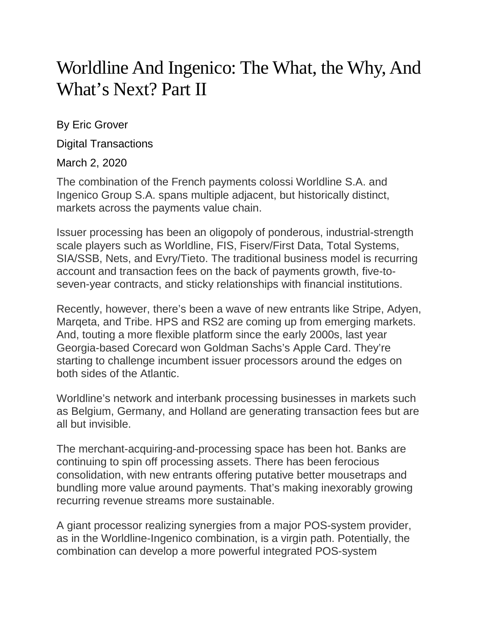## Worldline And Ingenico: The What, the Why, And What's Next? Part II

By Eric Grover

Digital Transactions

March 2, 2020

The combination of the French payments colossi Worldline S.A. and Ingenico Group S.A. spans multiple adjacent, but historically distinct, markets across the payments value chain.

Issuer processing has been an oligopoly of ponderous, industrial-strength scale players such as Worldline, FIS, Fiserv/First Data, Total Systems, SIA/SSB, Nets, and Evry/Tieto. The traditional business model is recurring account and transaction fees on the back of payments growth, five-toseven-year contracts, and sticky relationships with financial institutions.

Recently, however, there's been a wave of new entrants like Stripe, Adyen, Marqeta, and Tribe. HPS and RS2 are coming up from emerging markets. And, touting a more flexible platform since the early 2000s, last year Georgia-based Corecard won Goldman Sachs's Apple Card. They're starting to challenge incumbent issuer processors around the edges on both sides of the Atlantic.

Worldline's network and interbank processing businesses in markets such as Belgium, Germany, and Holland are generating transaction fees but are all but invisible.

The merchant-acquiring-and-processing space has been hot. Banks are continuing to spin off processing assets. There has been ferocious consolidation, with new entrants offering putative better mousetraps and bundling more value around payments. That's making inexorably growing recurring revenue streams more sustainable.

A giant processor realizing synergies from a major POS-system provider, as in the Worldline-Ingenico combination, is a virgin path. Potentially, the combination can develop a more powerful integrated POS-system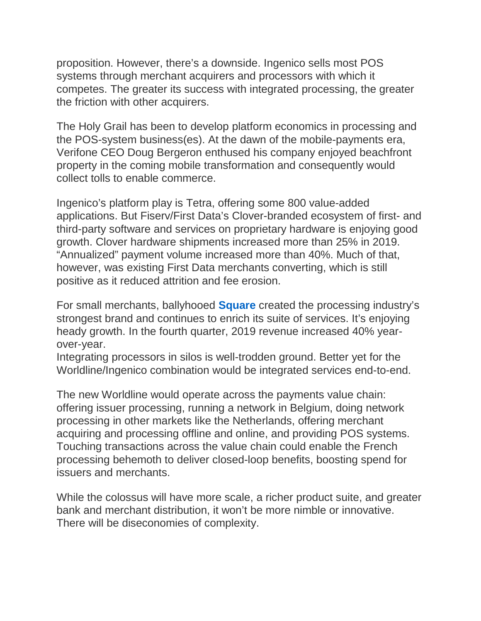proposition. However, there's a downside. Ingenico sells most POS systems through merchant acquirers and processors with which it competes. The greater its success with integrated processing, the greater the friction with other acquirers.

The Holy Grail has been to develop platform economics in processing and the POS-system business(es). At the dawn of the mobile-payments era, Verifone CEO Doug Bergeron enthused his company enjoyed beachfront property in the coming mobile transformation and consequently would collect tolls to enable commerce.

Ingenico's platform play is Tetra, offering some 800 value-added applications. But Fiserv/First Data's Clover-branded ecosystem of first- and third-party software and services on proprietary hardware is enjoying good growth. Clover hardware shipments increased more than 25% in 2019. "Annualized" payment volume increased more than 40%. Much of that, however, was existing First Data merchants converting, which is still positive as it reduced attrition and fee erosion.

For small merchants, ballyhooed **[Square](http://www.digitaltransactions.net/cash-app-helps-drive-growth-for-a-surging-square/)** created the processing industry's strongest brand and continues to enrich its suite of services. It's enjoying heady growth. In the fourth quarter, 2019 revenue increased 40% yearover-year.

Integrating processors in silos is well-trodden ground. Better yet for the Worldline/Ingenico combination would be integrated services end-to-end.

The new Worldline would operate across the payments value chain: offering issuer processing, running a network in Belgium, doing network processing in other markets like the Netherlands, offering merchant acquiring and processing offline and online, and providing POS systems. Touching transactions across the value chain could enable the French processing behemoth to deliver closed-loop benefits, boosting spend for issuers and merchants.

While the colossus will have more scale, a richer product suite, and greater bank and merchant distribution, it won't be more nimble or innovative. There will be diseconomies of complexity.